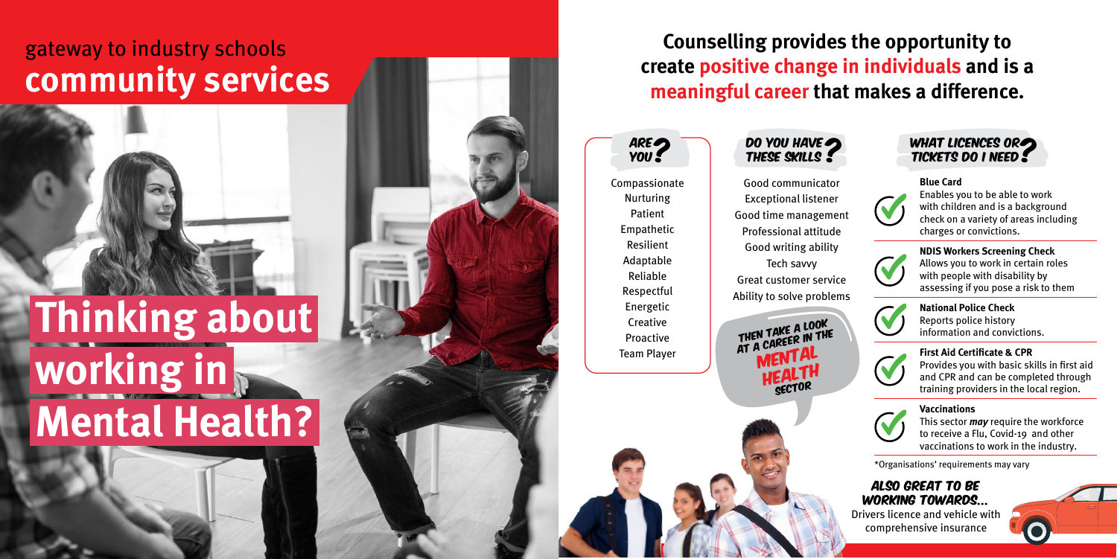**Counselling provides the opportunity to create positive change in individuals and is a meaningful career that makes a difference.** 

Compassionate Nurturing Patient Empathetic Resilient Adaptable Reliable Respectful Energetic **Creative** Proactive Team Player

Good communicator Exceptional listener Good time management Professional attitude Good writing ability Tech savvy Great customer service Ability to solve problems

THEN TAKE A LOOK<br>AT A CAREER IN THE<br>MENTAL<br>HEALTH



vaccinations to work in the industry.



Also great to be working towards... Drivers licence and vehicle with comprehensive insurance



\*Organisations' requirements may vary

## **Thinking about working in Mental Health?**

## gateway to industry schools **community services**